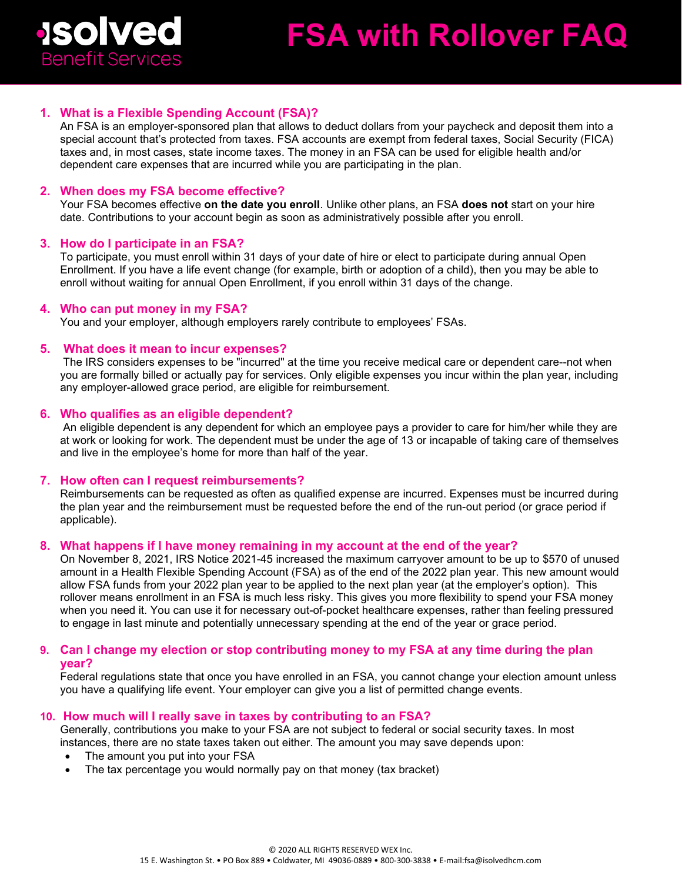

# 1. What is a Flexible Spending Account (FSA)?

An FSA is an employer-sponsored plan that allows to deduct dollars from your paycheck and deposit them into a special account that's protected from taxes. FSA accounts are exempt from federal taxes, Social Security (FICA) taxes and, in most cases, state income taxes. The money in an FSA can be used for eligible health and/or dependent care expenses that are incurred while you are participating in the plan.

## **2. When does my FSA become effective?**

Your FSA becomes effective **on the date you enroll**. Unlike other plans, an FSA **does not** start on your hire date. Contributions to your account begin as soon as administratively possible after you enroll.

#### **3. How do I participate in an FSA?**

To participate, you must enroll within 31 days of your date of hire or elect to participate during annual Open Enrollment. If you have a life event change (for example, birth or adoption of a child), then you may be able to enroll without waiting for annual Open Enrollment, if you enroll within 31 days of the change.

#### **4. Who can put money in my FSA?**

You and your employer, although employers rarely contribute to employees' FSAs.

# **5. What does it mean to incur expenses?**

The IRS considers expenses to be "incurred" at the time you receive medical care or dependent care--not when you are formally billed or actually pay for services. Only eligible expenses you incur within the plan year, including any employer-allowed grace period, are eligible for reimbursement.

### **6. Who qualifies as an eligible dependent?**

An eligible dependent is any dependent for which an employee pays a provider to care for him/her while they are at work or looking for work. The dependent must be under the age of 13 or incapable of taking care of themselves and live in the employee's home for more than half of the year.

#### **7. How often can I request reimbursements?**

Reimbursements can be requested as often as qualified expense are incurred. Expenses must be incurred during the plan year and the reimbursement must be requested before the end of the run-out period (or grace period if applicable).

#### **8. What happens if I have money remaining in my account at the end of the year?**

On November 8, 2021, IRS Notice 2021-45 increased the maximum carryover amount to be up to \$570 of unused amount in a Health Flexible Spending Account (FSA) as of the end of the 2022 plan year. This new amount would allow FSA funds from your 2022 plan year to be applied to the next plan year (at the employer's option). This rollover means enrollment in an FSA is much less risky. This gives you more flexibility to spend your FSA money when you need it. You can use it for necessary out-of-pocket healthcare expenses, rather than feeling pressured to engage in last minute and potentially unnecessary spending at the end of the year or grace period.

## **9. Can I change my election or stop contributing money to my FSA at any time during the plan year?**

Federal regulations state that once you have enrolled in an FSA, you cannot change your election amount unless you have a qualifying life event. Your employer can give you a list of permitted change events.

#### **10. How much will I really save in taxes by contributing to an FSA?**

Generally, contributions you make to your FSA are not subject to federal or social security taxes. In most instances, there are no state taxes taken out either. The amount you may save depends upon:

- The amount you put into your FSA
- The tax percentage you would normally pay on that money (tax bracket)